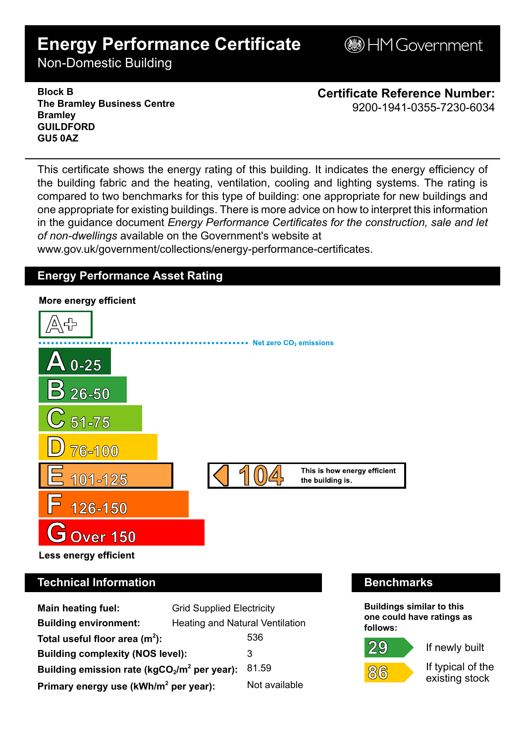# **Energy Performance Certificate**

**B**HM Government

Non-Domestic Building

**Block B The Bramley Business Centre Bramley GUILDFORD GU5 0AZ**

**Certificate Reference Number:** 9200-1941-0355-7230-6034

This certificate shows the energy rating of this building. It indicates the energy efficiency of the building fabric and the heating, ventilation, cooling and lighting systems. The rating is compared to two benchmarks for this type of building: one appropriate for new buildings and one appropriate for existing buildings. There is more advice on how to interpret this information in the guidance document *Energy Performance Certificates for the construction, sale and let of non-dwellings* available on the Government's website at

www.gov.uk/government/collections/energy-performance-certificates.

# **Energy Performance Asset Rating**



# **Technical Information Benchmarks**

| <b>Main heating fuel:</b>                         | <b>Grid Supplied Electricity</b>       |               |
|---------------------------------------------------|----------------------------------------|---------------|
| <b>Building environment:</b>                      | <b>Heating and Natural Ventilation</b> |               |
| Total useful floor area $(m2)$ :                  |                                        | 536           |
| <b>Building complexity (NOS level):</b>           |                                        | 3             |
| Building emission rate ( $kgCO2/m2$ per year):    |                                        | 81.59         |
| Primary energy use (kWh/m <sup>2</sup> per year): |                                        | Not available |

**Buildings similar to this one could have ratings as follows:**

29



If newly built

If typical of the existing stock